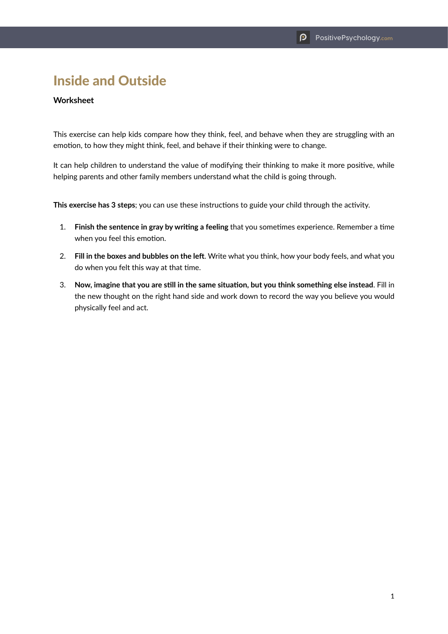## Inside and Outside

## **Worksheet**

This exercise can help kids compare how they think, feel, and behave when they are struggling with an emotion, to how they might think, feel, and behave if their thinking were to change.

It can help children to understand the value of modifying their thinking to make it more positive, while helping parents and other family members understand what the child is going through.

**This exercise has 3 steps**; you can use these instructions to guide your child through the activity.

- 1. **Finish the sentence in gray by writing a feeling** that you sometimes experience. Remember a time when you feel this emotion.
- 2. **Fill in the boxes and bubbles on the left**. Write what you think, how your body feels, and what you do when you felt this way at that time.
- 3. **Now, imagine that you are still in the same situation, but you think something else instead**. Fill in the new thought on the right hand side and work down to record the way you believe you would physically feel and act.